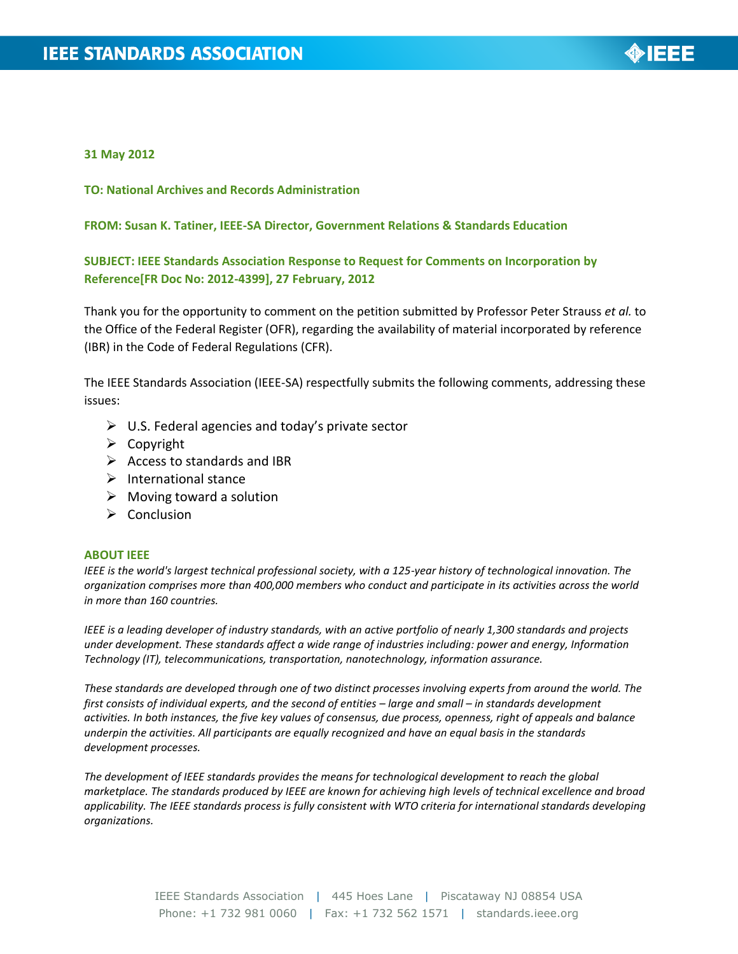

### **31 May 2012**

**TO: National Archives and Records Administration**

#### **FROM: Susan K. Tatiner, IEEE-SA Director, Government Relations & Standards Education**

# **SUBJECT: IEEE Standards Association Response to Request for Comments on Incorporation by Reference[FR Doc No: 2012-4399], 27 February, 2012**

Thank you for the opportunity to comment on the petition submitted by Professor Peter Strauss *et al.* to the Office of the Federal Register (OFR), regarding the availability of material incorporated by reference (IBR) in the Code of Federal Regulations (CFR).

The IEEE Standards Association (IEEE-SA) respectfully submits the following comments, addressing these issues:

- $\triangleright$  U.S. Federal agencies and today's private sector
- $\triangleright$  Copyright
- $\triangleright$  Access to standards and IBR
- $\triangleright$  International stance
- $\triangleright$  Moving toward a solution
- $\triangleright$  Conclusion

#### **ABOUT IEEE**

*IEEE is the world's largest technical professional society, with a 125-year history of technological innovation. The organization comprises more than 400,000 members who conduct and participate in its activities across the world in more than 160 countries.* 

*IEEE is a leading developer of industry standards, with an active portfolio of nearly 1,300 standards and projects under development. These standards affect a wide range of industries including: power and energy, Information Technology (IT), telecommunications, transportation, nanotechnology, information assurance.* 

*These standards are developed through one of two distinct processes involving experts from around the world. The first consists of individual experts, and the second of entities – large and small – in standards development activities. In both instances, the five key values of consensus, due process, openness, right of appeals and balance underpin the activities. All participants are equally recognized and have an equal basis in the standards development processes.* 

*The development of IEEE standards provides the means for technological development to reach the global marketplace. The standards produced by IEEE are known for achieving high levels of technical excellence and broad applicability. The IEEE standards process is fully consistent with WTO criteria for international standards developing organizations.*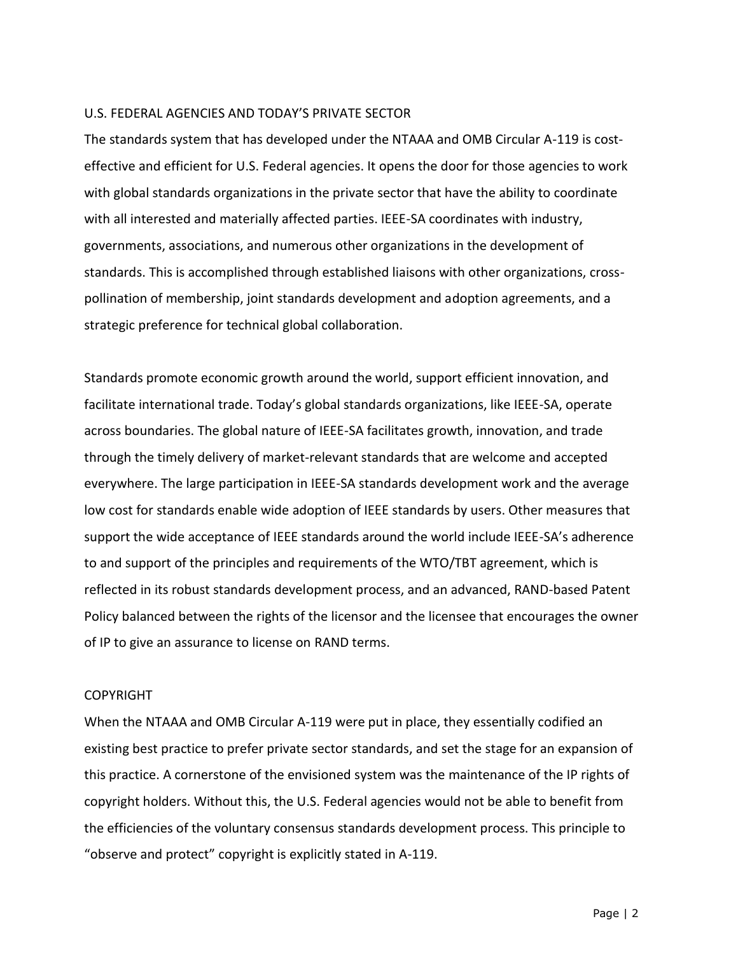## U.S. FEDERAL AGENCIES AND TODAY'S PRIVATE SECTOR

The standards system that has developed under the NTAAA and OMB Circular A-119 is costeffective and efficient for U.S. Federal agencies. It opens the door for those agencies to work with global standards organizations in the private sector that have the ability to coordinate with all interested and materially affected parties. IEEE-SA coordinates with industry, governments, associations, and numerous other organizations in the development of standards. This is accomplished through established liaisons with other organizations, crosspollination of membership, joint standards development and adoption agreements, and a strategic preference for technical global collaboration.

Standards promote economic growth around the world, support efficient innovation, and facilitate international trade. Today's global standards organizations, like IEEE-SA, operate across boundaries. The global nature of IEEE-SA facilitates growth, innovation, and trade through the timely delivery of market-relevant standards that are welcome and accepted everywhere. The large participation in IEEE-SA standards development work and the average low cost for standards enable wide adoption of IEEE standards by users. Other measures that support the wide acceptance of IEEE standards around the world include IEEE-SA's adherence to and support of the principles and requirements of the WTO/TBT agreement, which is reflected in its robust standards development process, and an advanced, RAND-based Patent Policy balanced between the rights of the licensor and the licensee that encourages the owner of IP to give an assurance to license on RAND terms.

# COPYRIGHT

When the NTAAA and OMB Circular A-119 were put in place, they essentially codified an existing best practice to prefer private sector standards, and set the stage for an expansion of this practice. A cornerstone of the envisioned system was the maintenance of the IP rights of copyright holders. Without this, the U.S. Federal agencies would not be able to benefit from the efficiencies of the voluntary consensus standards development process. This principle to "observe and protect" copyright is explicitly stated in A-119.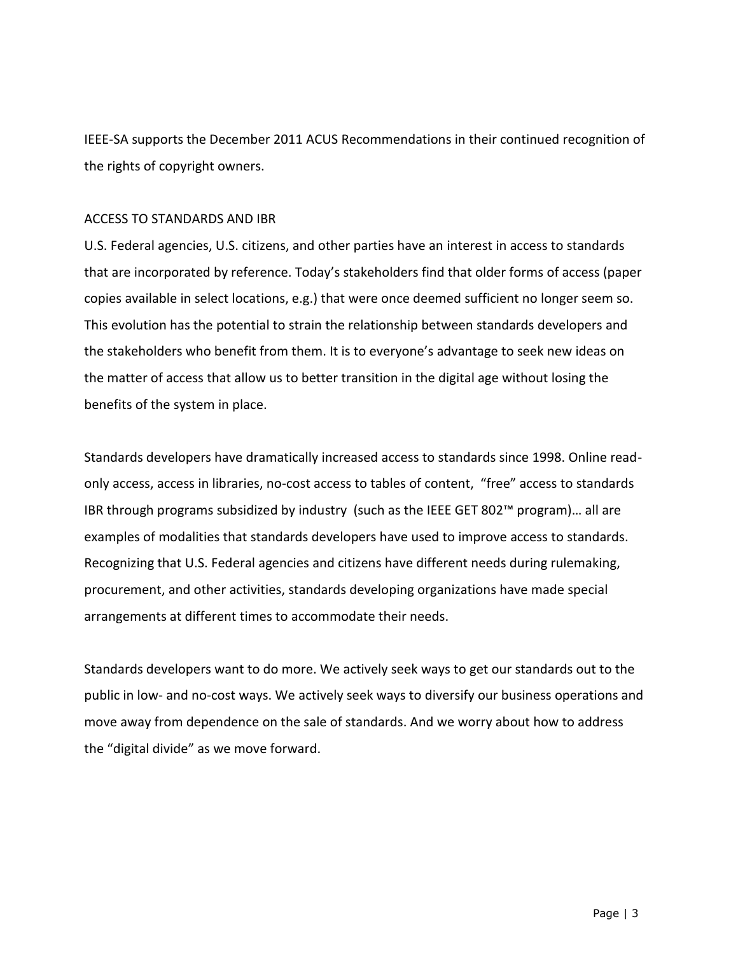IEEE-SA supports the December 2011 ACUS Recommendations in their continued recognition of the rights of copyright owners.

## ACCESS TO STANDARDS AND IBR

U.S. Federal agencies, U.S. citizens, and other parties have an interest in access to standards that are incorporated by reference. Today's stakeholders find that older forms of access (paper copies available in select locations, e.g.) that were once deemed sufficient no longer seem so. This evolution has the potential to strain the relationship between standards developers and the stakeholders who benefit from them. It is to everyone's advantage to seek new ideas on the matter of access that allow us to better transition in the digital age without losing the benefits of the system in place.

Standards developers have dramatically increased access to standards since 1998. Online readonly access, access in libraries, no-cost access to tables of content, "free" access to standards IBR through programs subsidized by industry (such as the IEEE GET 802™ program)… all are examples of modalities that standards developers have used to improve access to standards. Recognizing that U.S. Federal agencies and citizens have different needs during rulemaking, procurement, and other activities, standards developing organizations have made special arrangements at different times to accommodate their needs.

Standards developers want to do more. We actively seek ways to get our standards out to the public in low- and no-cost ways. We actively seek ways to diversify our business operations and move away from dependence on the sale of standards. And we worry about how to address the "digital divide" as we move forward.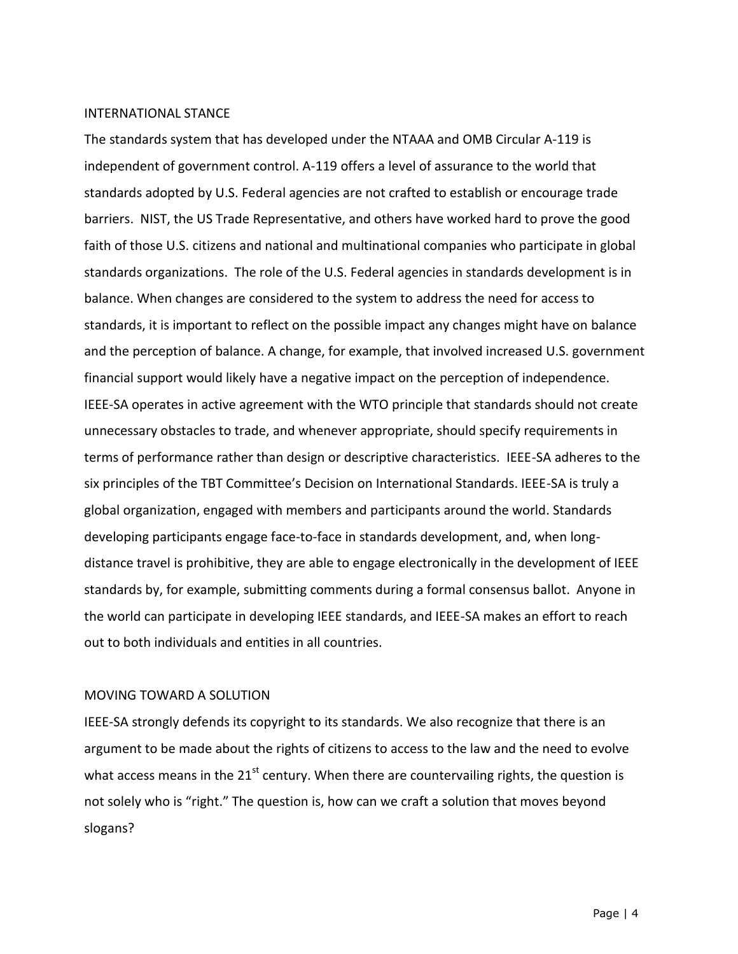#### INTERNATIONAL STANCE

The standards system that has developed under the NTAAA and OMB Circular A-119 is independent of government control. A-119 offers a level of assurance to the world that standards adopted by U.S. Federal agencies are not crafted to establish or encourage trade barriers. NIST, the US Trade Representative, and others have worked hard to prove the good faith of those U.S. citizens and national and multinational companies who participate in global standards organizations. The role of the U.S. Federal agencies in standards development is in balance. When changes are considered to the system to address the need for access to standards, it is important to reflect on the possible impact any changes might have on balance and the perception of balance. A change, for example, that involved increased U.S. government financial support would likely have a negative impact on the perception of independence. IEEE-SA operates in active agreement with the WTO principle that standards should not create unnecessary obstacles to trade, and whenever appropriate, should specify requirements in terms of performance rather than design or descriptive characteristics. IEEE-SA adheres to the six principles of the TBT Committee's Decision on International Standards. IEEE-SA is truly a global organization, engaged with members and participants around the world. Standards developing participants engage face-to-face in standards development, and, when longdistance travel is prohibitive, they are able to engage electronically in the development of IEEE standards by, for example, submitting comments during a formal consensus ballot. Anyone in the world can participate in developing IEEE standards, and IEEE-SA makes an effort to reach out to both individuals and entities in all countries.

## MOVING TOWARD A SOLUTION

IEEE-SA strongly defends its copyright to its standards. We also recognize that there is an argument to be made about the rights of citizens to access to the law and the need to evolve what access means in the  $21<sup>st</sup>$  century. When there are countervailing rights, the question is not solely who is "right." The question is, how can we craft a solution that moves beyond slogans?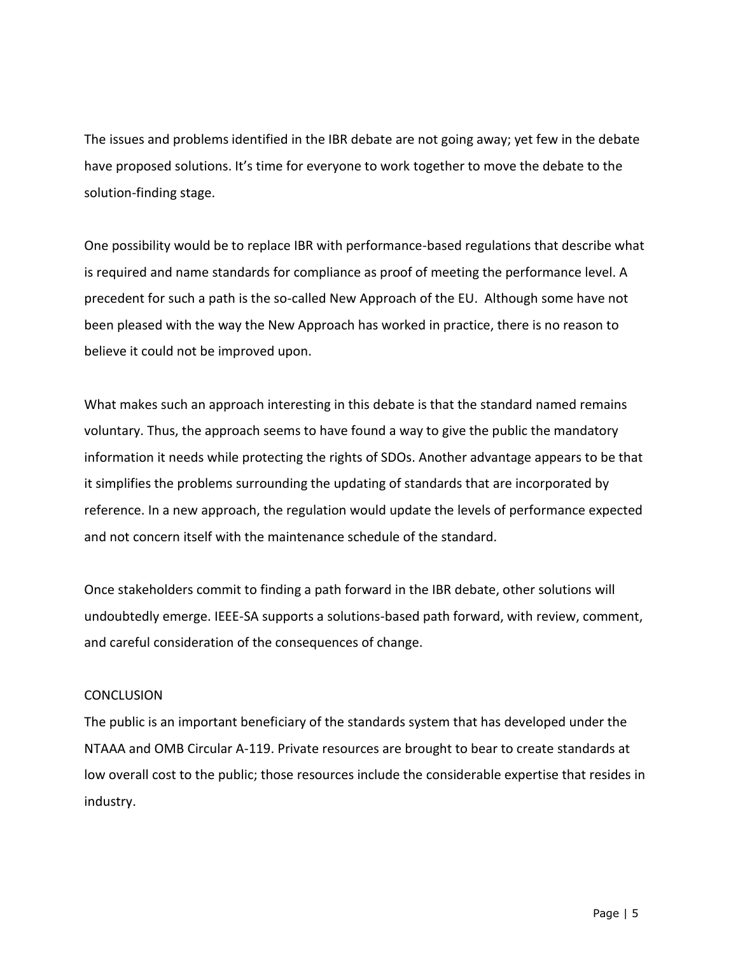The issues and problems identified in the IBR debate are not going away; yet few in the debate have proposed solutions. It's time for everyone to work together to move the debate to the solution-finding stage.

One possibility would be to replace IBR with performance-based regulations that describe what is required and name standards for compliance as proof of meeting the performance level. A precedent for such a path is the so-called New Approach of the EU. Although some have not been pleased with the way the New Approach has worked in practice, there is no reason to believe it could not be improved upon.

What makes such an approach interesting in this debate is that the standard named remains voluntary. Thus, the approach seems to have found a way to give the public the mandatory information it needs while protecting the rights of SDOs. Another advantage appears to be that it simplifies the problems surrounding the updating of standards that are incorporated by reference. In a new approach, the regulation would update the levels of performance expected and not concern itself with the maintenance schedule of the standard.

Once stakeholders commit to finding a path forward in the IBR debate, other solutions will undoubtedly emerge. IEEE-SA supports a solutions-based path forward, with review, comment, and careful consideration of the consequences of change.

# **CONCLUSION**

The public is an important beneficiary of the standards system that has developed under the NTAAA and OMB Circular A-119. Private resources are brought to bear to create standards at low overall cost to the public; those resources include the considerable expertise that resides in industry.